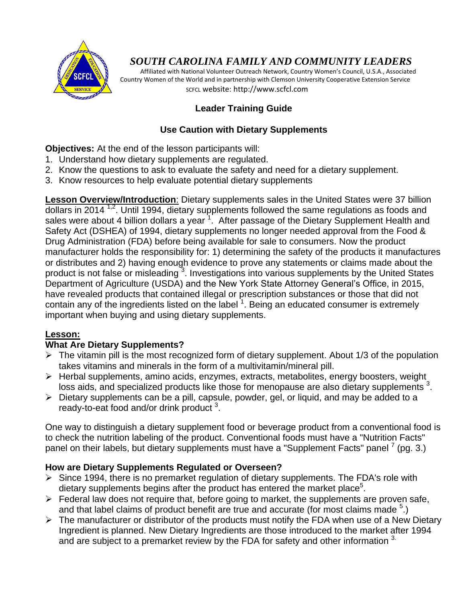

# *SOUTH CAROLINA FAMILY AND COMMUNITY LEADERS*

 Affiliated with National Volunteer Outreach Network, Country Women's Council, U.S.A., Associated Country Women of the World and in partnership with Clemson University Cooperative Extension Service SCFCL website: http://www.scfcl.com

# **Leader Training Guide**

## **Use Caution with Dietary Supplements**

**Objectives:** At the end of the lesson participants will:

- 1. Understand how dietary supplements are regulated.
- 2. Know the questions to ask to evaluate the safety and need for a dietary supplement.
- 3. Know resources to help evaluate potential dietary supplements

**Lesson Overview/Introduction**: Dietary supplements sales in the United States were 37 billion dollars in 2014  $^{1,2}$ . Until 1994, dietary supplements followed the same regulations as foods and sales were about 4 billion dollars a year  $1$ . After passage of the Dietary Supplement Health and Safety Act (DSHEA) of 1994, dietary supplements no longer needed approval from the Food & Drug Administration (FDA) before being available for sale to consumers. Now the product manufacturer holds the responsibility for: 1) determining the safety of the products it manufactures or distributes and 2) having enough evidence to prove any statements or claims made about the product is not false or misleading<sup>3</sup>. Investigations into various supplements by the United States Department of Agriculture (USDA) and the New York State Attorney General's Office, in 2015, have revealed products that contained illegal or prescription substances or those that did not contain any of the ingredients listed on the label  $1$ . Being an educated consumer is extremely important when buying and using dietary supplements.

#### **Lesson:**

#### **What Are Dietary Supplements?**

- $\triangleright$  The vitamin pill is the most recognized form of dietary supplement. About 1/3 of the population takes vitamins and minerals in the form of a multivitamin/mineral pill.
- Herbal supplements, amino acids, enzymes, extracts, metabolites, energy boosters, weight loss aids, and specialized products like those for menopause are also dietary supplements  $3$ .
- $\triangleright$  Dietary supplements can be a pill, capsule, powder, gel, or liquid, and may be added to a ready-to-eat food and/or drink product<sup>3</sup>.

One way to distinguish a dietary supplement food or beverage product from a conventional food is to check the nutrition labeling of the product. Conventional foods must have a "Nutrition Facts" panel on their labels, but dietary supplements must have a "Supplement Facts" panel  $\frac{7}{2}$  (pg. 3.)

#### **How are Dietary Supplements Regulated or Overseen?**

- $\triangleright$  Since 1994, there is no premarket regulation of dietary supplements. The FDA's role with dietary supplements begins after the product has entered the market place<sup>5</sup>.
- $\triangleright$  Federal law does not require that, before going to market, the supplements are proven safe, and that label claims of product benefit are true and accurate (for most claims made  $5$ .)
- $\triangleright$  The manufacturer or distributor of the products must notify the FDA when use of a New Dietary Ingredient is planned. New Dietary Ingredients are those introduced to the market after 1994 and are subject to a premarket review by the FDA for safety and other information  $3$ .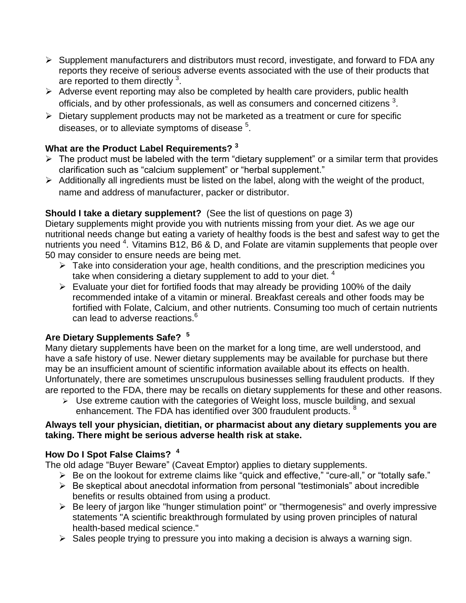- $\triangleright$  Supplement manufacturers and distributors must record, investigate, and forward to FDA any reports they receive of serious adverse events associated with the use of their products that are reported to them directly  $3$ .
- $\triangleright$  Adverse event reporting may also be completed by health care providers, public health officials, and by other professionals, as well as consumers and concerned citizens  $^3$ .
- $\triangleright$  Dietary supplement products may not be marketed as a treatment or cure for specific diseases, or to alleviate symptoms of disease  $5$ .

# **What are the Product Label Requirements? <sup>3</sup>**

- $\triangleright$  The product must be labeled with the term "dietary supplement" or a similar term that provides clarification such as "calcium supplement" or "herbal supplement."
- $\triangleright$  Additionally all ingredients must be listed on the label, along with the weight of the product, name and address of manufacturer, packer or distributor.

# **Should I take a dietary supplement?** (See the list of questions on page 3)

Dietary supplements might provide you with nutrients missing from your diet. As we age our nutritional needs change but eating a variety of healthy foods is the best and safest way to get the nutrients you need <sup>4</sup>. Vitamins B12, B6 & D, and Folate are vitamin supplements that people over 50 may consider to ensure needs are being met.

- $\triangleright$  Take into consideration your age, health conditions, and the prescription medicines you take when considering a dietary supplement to add to your diet.<sup>4</sup>
- $\triangleright$  Evaluate your diet for fortified foods that may already be providing 100% of the daily recommended intake of a vitamin or mineral. Breakfast cereals and other foods may be fortified with Folate, Calcium, and other nutrients. Consuming too much of certain nutrients can lead to adverse reactions.<sup>6</sup>

# **Are Dietary Supplements Safe? <sup>5</sup>**

Many dietary supplements have been on the market for a long time, are well understood, and have a safe history of use. Newer dietary supplements may be available for purchase but there may be an insufficient amount of scientific information available about its effects on health. Unfortunately, there are sometimes unscrupulous businesses selling fraudulent products. If they are reported to the FDA, there may be recalls on dietary supplements for these and other reasons.

 $\triangleright$  Use extreme caution with the categories of Weight loss, muscle building, and sexual enhancement. The FDA has identified over 300 fraudulent products. <sup>8</sup>

#### **Always tell your physician, dietitian, or pharmacist about any dietary supplements you are taking. There might be serious adverse health risk at stake.**

# **How Do I Spot False Claims? <sup>4</sup>**

The old adage "Buyer Beware" (Caveat Emptor) applies to dietary supplements.

- ▶ Be on the lookout for extreme claims like "quick and effective," "cure-all," or "totally safe."
- $\triangleright$  Be skeptical about anecdotal information from personal "testimonials" about incredible benefits or results obtained from using a product.
- $\triangleright$  Be leery of jargon like "hunger stimulation point" or "thermogenesis" and overly impressive statements "A scientific breakthrough formulated by using proven principles of natural health-based medical science."
- $\triangleright$  Sales people trying to pressure you into making a decision is always a warning sign.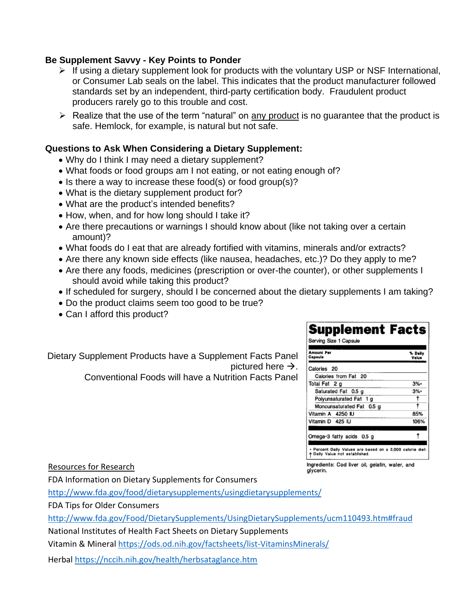#### **Be Supplement Savvy - Key Points to Ponder**

- $\triangleright$  If using a dietary supplement look for products with the voluntary USP or NSF International, or Consumer Lab seals on the label. This indicates that the product manufacturer followed standards set by an independent, third-party certification body. Fraudulent product producers rarely go to this trouble and cost.
- $\triangleright$  Realize that the use of the term "natural" on any product is no quarantee that the product is safe. Hemlock, for example, is natural but not safe.

#### **Questions to Ask When Considering a Dietary Supplement:**

- Why do I think I may need a dietary supplement?
- What foods or food groups am I not eating, or not eating enough of?
- $\bullet$  Is there a way to increase these food(s) or food group(s)?
- What is the dietary supplement product for?
- What are the product's intended benefits?
- How, when, and for how long should I take it?
- Are there precautions or warnings I should know about (like not taking over a certain amount)?
- What foods do I eat that are already fortified with vitamins, minerals and/or extracts?
- Are there any known side effects (like nausea, headaches, etc.)? Do they apply to me?
- Are there any foods, medicines (prescription or over-the counter), or other supplements I should avoid while taking this product?
- If scheduled for surgery, should I be concerned about the dietary supplements I am taking?
- Do the product claims seem too good to be true?
- Can I afford this product?

Dietary Supplement Products have a Supplement Facts Panel pictured here  $\rightarrow$ .

Conventional Foods will have a Nutrition Facts Panel

| Capsule                   | % Daily<br>Value |
|---------------------------|------------------|
| Calories 20               |                  |
| Calories from Fat 20      |                  |
| Total Fat 2 o             | $3%$ *           |
| Saturated Fat 0.5 g       | 3%*              |
| Polyunsaturated Fat 1 g   |                  |
| Monounsaturated Fat 0.5 g |                  |
| Vitamin A 4250 IU         | 85%              |
| Vitamin D 425 IU          | 106%             |

Ingredients: Cod liver oil, gelatin, water, and

alvcerin.

Resources for Research

FDA Information on Dietary Supplements for Consumers

<http://www.fda.gov/food/dietarysupplements/usingdietarysupplements/>

FDA Tips for Older Consumers

<http://www.fda.gov/Food/DietarySupplements/UsingDietarySupplements/ucm110493.htm#fraud>

National Institutes of Health Fact Sheets on Dietary Supplements

Vitamin & Mineral<https://ods.od.nih.gov/factsheets/list-VitaminsMinerals/>

Herbal<https://nccih.nih.gov/health/herbsataglance.htm>